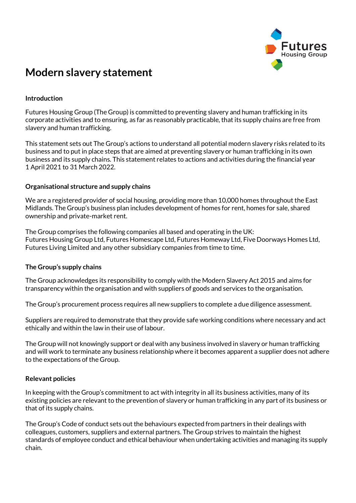

# **Modern slavery statement**

## **Introduction**

Futures Housing Group (The Group) is committed to preventing slavery and human trafficking in its corporate activities and to ensuring, as far as reasonably practicable, that its supply chains are free from slavery and human trafficking.

This statement sets out The Group's actions to understand all potential modern slavery risks related to its business and to put in place steps that are aimed at preventing slavery or human trafficking in its own business and its supply chains. This statement relates to actions and activities during the financial year 1 April 2021 to 31 March 2022.

### **Organisational structure and supply chains**

We are a registered provider of social housing, providing more than 10,000 homes throughout the East Midlands. The Group's business plan includes development of homes for rent, homes for sale, shared ownership and private-market rent.

The Group comprises the following companies all based and operating in the UK: Futures Housing Group Ltd, Futures Homescape Ltd, Futures Homeway Ltd, Five Doorways Homes Ltd, Futures Living Limited and any other subsidiary companies from time to time.

### **The Group's supply chains**

The Group acknowledges its responsibility to comply with the Modern Slavery Act 2015 and aims for transparency within the organisation and with suppliers of goods and services to the organisation.

The Group's procurement process requires all new suppliers to complete a due diligence assessment.

Suppliers are required to demonstrate that they provide safe working conditions where necessary and act ethically and within the law in their use of labour.

The Group will not knowingly support or deal with any business involved in slavery or human trafficking and will work to terminate any business relationship where it becomes apparent a supplier does not adhere to the expectations of the Group.

### **Relevant policies**

In keeping with the Group's commitment to act with integrity in all its business activities, many of its existing policies are relevant to the prevention of slavery or human trafficking in any part of its business or that of its supply chains.

The Group's Code of conduct sets out the behaviours expected from partners in their dealings with colleagues, customers, suppliers and external partners. The Group strives to maintain the highest standards of employee conduct and ethical behaviour when undertaking activities and managing its supply chain.